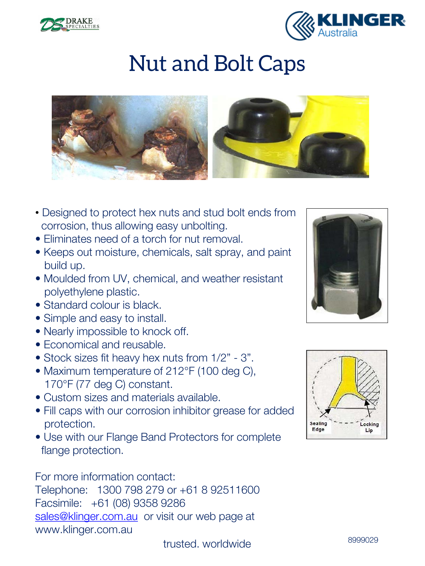



## Nut and Bolt Caps



- Designed to protect hex nuts and stud bolt ends from corrosion, thus allowing easy unbolting.
- Eliminates need of a torch for nut removal.
- Keeps out moisture, chemicals, salt spray, and paint build up.
- Moulded from UV, chemical, and weather resistant polyethylene plastic.
- Standard colour is black.
- Simple and easy to install.
- Nearly impossible to knock off.
- Economical and reusable.
- Stock sizes fit heavy hex nuts from 1/2" 3".
- Maximum temperature of 212°F (100 deg C), 170°F (77 deg C) constant.
- Custom sizes and materials available.
- Fill caps with our corrosion inhibitor grease for added protection.
- Use with our Flange Band Protectors for complete flange protection.

For more information contact:

Telephone: 1300 798 279 or +61 8 92511600 Facsimile: +61 (08) 9358 9286 [sales@klinger.com.au](mailto:sales@klinger.com.au) or visit our web page at www.klinger.com.au